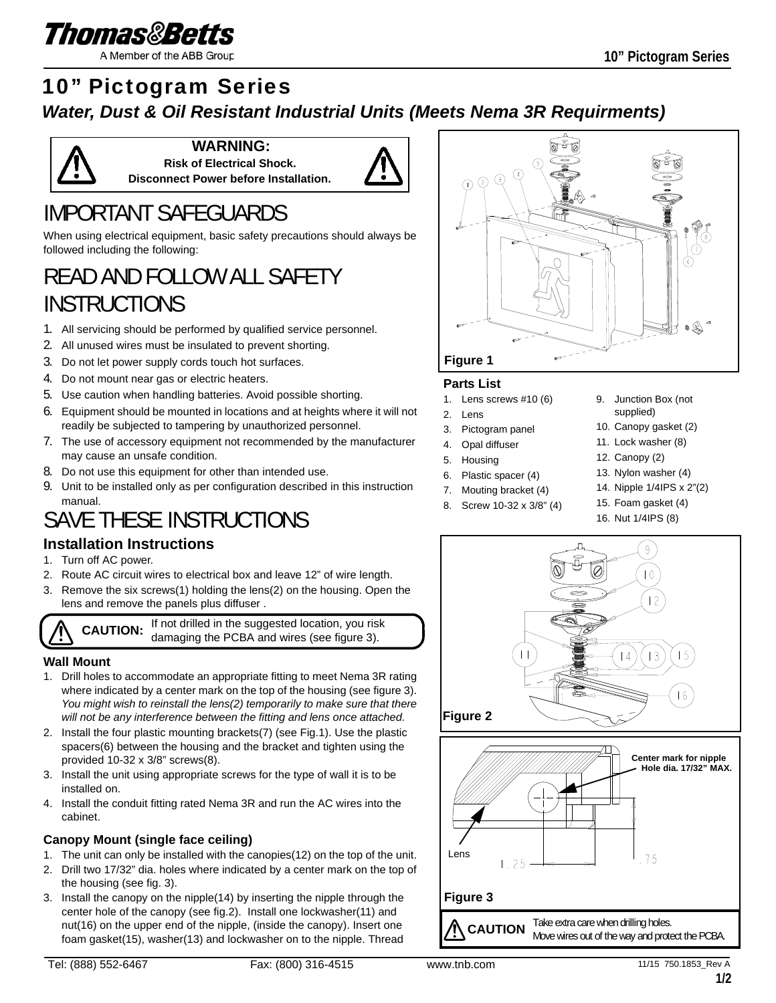

A Member of the ABB Group

### 10" Pictogram Series

### *Water, Dust & Oil Resistant Industrial Units (Meets Nema 3R Requirments)*



**WARNING: Risk of Electrical Shock. Disconnect Power before Installation.**



# IMPORTANT SAFEGUARDS

When using electrical equipment, basic safety precautions should always be followed including the following:

# READ AND FOLLOW ALL SAFETY INSTRUCTIONS

- 1. All servicing should be performed by qualified service personnel.
- 2. All unused wires must be insulated to prevent shorting.
- 3. Do not let power supply cords touch hot surfaces.
- 4. Do not mount near gas or electric heaters.
- 5. Use caution when handling batteries. Avoid possible shorting.
- 6. Equipment should be mounted in locations and at heights where it will not readily be subjected to tampering by unauthorized personnel.
- 7. The use of accessory equipment not recommended by the manufacturer may cause an unsafe condition.
- 8. Do not use this equipment for other than intended use.
- 9. Unit to be installed only as per configuration described in this instruction manual.

# SAVE THESE INSTRUCTIONS

### **Installation Instructions**

- 1. Turn off AC power.
- 2. Route AC circuit wires to electrical box and leave 12" of wire length.
- 3. Remove the six screws(1) holding the lens(2) on the housing. Open the lens and remove the panels plus diffuser .

**CAUTION:** If not drilled in the suggested location, you risk damaging the PCBA and wires (see figure 3).

### **Wall Mount**

- 1. Drill holes to accommodate an appropriate fitting to meet Nema 3R rating where indicated by a center mark on the top of the housing (see figure 3). *You might wish to reinstall the lens(2) temporarily to make sure that there will not be any interference between the fitting and lens once attached.*
- 2. Install the four plastic mounting brackets(7) (see Fig.1). Use the plastic spacers(6) between the housing and the bracket and tighten using the provided 10-32 x 3/8" screws(8).
- 3. Install the unit using appropriate screws for the type of wall it is to be installed on.
- 4. Install the conduit fitting rated Nema 3R and run the AC wires into the cabinet.

#### **Canopy Mount (single face ceiling)**

- 1. The unit can only be installed with the canopies(12) on the top of the unit.
- 2. Drill two 17/32" dia. holes where indicated by a center mark on the top of the housing (see fig. 3).
- 3. Install the canopy on the nipple(14) by inserting the nipple through the center hole of the canopy (see fig.2). Install one lockwasher(11) and nut(16) on the upper end of the nipple, (inside the canopy). Insert one foam gasket(15), washer(13) and lockwasher on to the nipple. Thread



#### **Parts List**

- 1. Lens screws #10 (6)
- 2. Lens
- 3. Pictogram panel
- 4. Opal diffuser
- 5. Housing
- 6. Plastic spacer (4)
- 7. Mouting bracket (4)
- 8. Screw 10-32 x 3/8" (4)
- 9. Junction Box (not supplied)
- 10. Canopy gasket (2)
- 11. Lock washer (8)
- 12. Canopy (2)
- 13. Nylon washer (4)
- 14. Nipple 1/4IPS x 2"(2)
- 15. Foam gasket (4)
	- 16. Nut 1/4IPS (8)